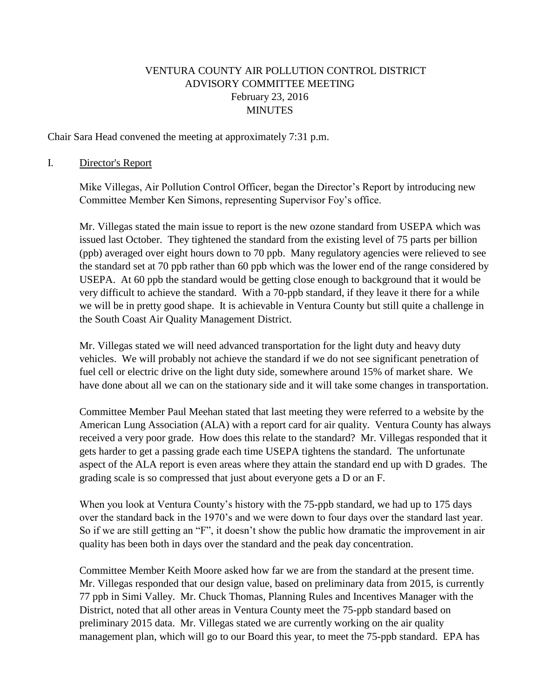# VENTURA COUNTY AIR POLLUTION CONTROL DISTRICT ADVISORY COMMITTEE MEETING February 23, 2016 MINUTES

Chair Sara Head convened the meeting at approximately 7:31 p.m.

### I. Director's Report

Mike Villegas, Air Pollution Control Officer, began the Director's Report by introducing new Committee Member Ken Simons, representing Supervisor Foy's office.

Mr. Villegas stated the main issue to report is the new ozone standard from USEPA which was issued last October. They tightened the standard from the existing level of 75 parts per billion (ppb) averaged over eight hours down to 70 ppb. Many regulatory agencies were relieved to see the standard set at 70 ppb rather than 60 ppb which was the lower end of the range considered by USEPA. At 60 ppb the standard would be getting close enough to background that it would be very difficult to achieve the standard. With a 70-ppb standard, if they leave it there for a while we will be in pretty good shape. It is achievable in Ventura County but still quite a challenge in the South Coast Air Quality Management District.

Mr. Villegas stated we will need advanced transportation for the light duty and heavy duty vehicles. We will probably not achieve the standard if we do not see significant penetration of fuel cell or electric drive on the light duty side, somewhere around 15% of market share. We have done about all we can on the stationary side and it will take some changes in transportation.

Committee Member Paul Meehan stated that last meeting they were referred to a website by the American Lung Association (ALA) with a report card for air quality. Ventura County has always received a very poor grade. How does this relate to the standard? Mr. Villegas responded that it gets harder to get a passing grade each time USEPA tightens the standard. The unfortunate aspect of the ALA report is even areas where they attain the standard end up with D grades. The grading scale is so compressed that just about everyone gets a D or an F.

When you look at Ventura County's history with the 75-ppb standard, we had up to 175 days over the standard back in the 1970's and we were down to four days over the standard last year. So if we are still getting an "F", it doesn't show the public how dramatic the improvement in air quality has been both in days over the standard and the peak day concentration.

Committee Member Keith Moore asked how far we are from the standard at the present time. Mr. Villegas responded that our design value, based on preliminary data from 2015, is currently 77 ppb in Simi Valley. Mr. Chuck Thomas, Planning Rules and Incentives Manager with the District, noted that all other areas in Ventura County meet the 75-ppb standard based on preliminary 2015 data. Mr. Villegas stated we are currently working on the air quality management plan, which will go to our Board this year, to meet the 75-ppb standard. EPA has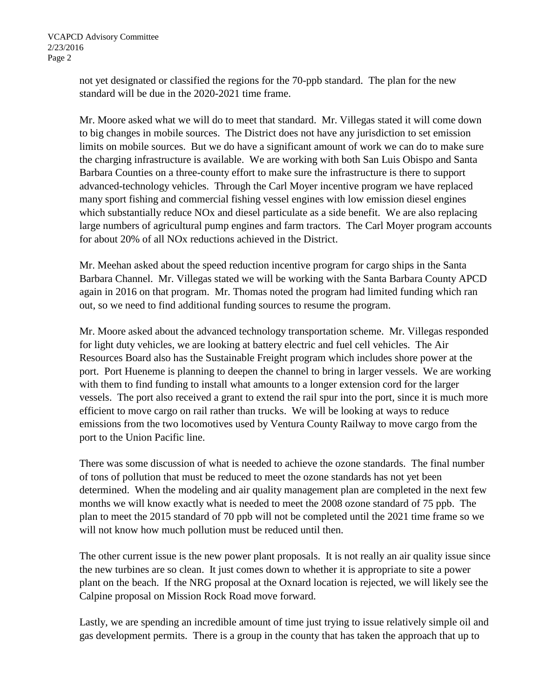not yet designated or classified the regions for the 70-ppb standard. The plan for the new standard will be due in the 2020-2021 time frame.

Mr. Moore asked what we will do to meet that standard. Mr. Villegas stated it will come down to big changes in mobile sources. The District does not have any jurisdiction to set emission limits on mobile sources. But we do have a significant amount of work we can do to make sure the charging infrastructure is available. We are working with both San Luis Obispo and Santa Barbara Counties on a three-county effort to make sure the infrastructure is there to support advanced-technology vehicles. Through the Carl Moyer incentive program we have replaced many sport fishing and commercial fishing vessel engines with low emission diesel engines which substantially reduce NO<sub>x</sub> and diesel particulate as a side benefit. We are also replacing large numbers of agricultural pump engines and farm tractors. The Carl Moyer program accounts for about 20% of all NOx reductions achieved in the District.

Mr. Meehan asked about the speed reduction incentive program for cargo ships in the Santa Barbara Channel. Mr. Villegas stated we will be working with the Santa Barbara County APCD again in 2016 on that program. Mr. Thomas noted the program had limited funding which ran out, so we need to find additional funding sources to resume the program.

Mr. Moore asked about the advanced technology transportation scheme. Mr. Villegas responded for light duty vehicles, we are looking at battery electric and fuel cell vehicles. The Air Resources Board also has the Sustainable Freight program which includes shore power at the port. Port Hueneme is planning to deepen the channel to bring in larger vessels. We are working with them to find funding to install what amounts to a longer extension cord for the larger vessels. The port also received a grant to extend the rail spur into the port, since it is much more efficient to move cargo on rail rather than trucks. We will be looking at ways to reduce emissions from the two locomotives used by Ventura County Railway to move cargo from the port to the Union Pacific line.

There was some discussion of what is needed to achieve the ozone standards. The final number of tons of pollution that must be reduced to meet the ozone standards has not yet been determined. When the modeling and air quality management plan are completed in the next few months we will know exactly what is needed to meet the 2008 ozone standard of 75 ppb. The plan to meet the 2015 standard of 70 ppb will not be completed until the 2021 time frame so we will not know how much pollution must be reduced until then.

The other current issue is the new power plant proposals. It is not really an air quality issue since the new turbines are so clean. It just comes down to whether it is appropriate to site a power plant on the beach. If the NRG proposal at the Oxnard location is rejected, we will likely see the Calpine proposal on Mission Rock Road move forward.

Lastly, we are spending an incredible amount of time just trying to issue relatively simple oil and gas development permits. There is a group in the county that has taken the approach that up to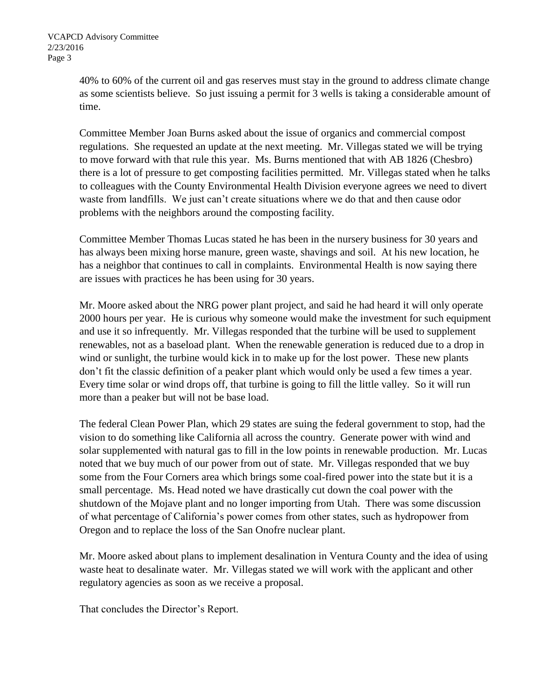40% to 60% of the current oil and gas reserves must stay in the ground to address climate change as some scientists believe. So just issuing a permit for 3 wells is taking a considerable amount of time.

Committee Member Joan Burns asked about the issue of organics and commercial compost regulations. She requested an update at the next meeting. Mr. Villegas stated we will be trying to move forward with that rule this year. Ms. Burns mentioned that with AB 1826 (Chesbro) there is a lot of pressure to get composting facilities permitted. Mr. Villegas stated when he talks to colleagues with the County Environmental Health Division everyone agrees we need to divert waste from landfills. We just can't create situations where we do that and then cause odor problems with the neighbors around the composting facility.

Committee Member Thomas Lucas stated he has been in the nursery business for 30 years and has always been mixing horse manure, green waste, shavings and soil. At his new location, he has a neighbor that continues to call in complaints. Environmental Health is now saying there are issues with practices he has been using for 30 years.

Mr. Moore asked about the NRG power plant project, and said he had heard it will only operate 2000 hours per year. He is curious why someone would make the investment for such equipment and use it so infrequently. Mr. Villegas responded that the turbine will be used to supplement renewables, not as a baseload plant. When the renewable generation is reduced due to a drop in wind or sunlight, the turbine would kick in to make up for the lost power. These new plants don't fit the classic definition of a peaker plant which would only be used a few times a year. Every time solar or wind drops off, that turbine is going to fill the little valley. So it will run more than a peaker but will not be base load.

The federal Clean Power Plan, which 29 states are suing the federal government to stop, had the vision to do something like California all across the country. Generate power with wind and solar supplemented with natural gas to fill in the low points in renewable production. Mr. Lucas noted that we buy much of our power from out of state. Mr. Villegas responded that we buy some from the Four Corners area which brings some coal-fired power into the state but it is a small percentage. Ms. Head noted we have drastically cut down the coal power with the shutdown of the Mojave plant and no longer importing from Utah. There was some discussion of what percentage of California's power comes from other states, such as hydropower from Oregon and to replace the loss of the San Onofre nuclear plant.

Mr. Moore asked about plans to implement desalination in Ventura County and the idea of using waste heat to desalinate water. Mr. Villegas stated we will work with the applicant and other regulatory agencies as soon as we receive a proposal.

That concludes the Director's Report.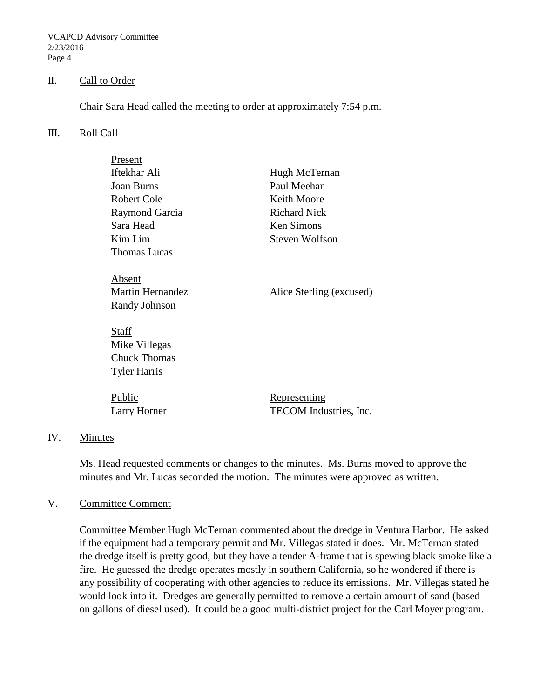VCAPCD Advisory Committee 2/23/2016 Page 4

### II. Call to Order

Chair Sara Head called the meeting to order at approximately 7:54 p.m.

#### III. Roll Call

| Present                 |                          |
|-------------------------|--------------------------|
| Iftekhar Ali            | Hugh McTernan            |
| <b>Joan Burns</b>       | Paul Meehan              |
| Robert Cole             | Keith Moore              |
| Raymond Garcia          | <b>Richard Nick</b>      |
| Sara Head               | <b>Ken Simons</b>        |
| Kim Lim                 | <b>Steven Wolfson</b>    |
| <b>Thomas Lucas</b>     |                          |
|                         |                          |
| Absent                  |                          |
| <b>Martin Hernandez</b> | Alice Sterling (excused) |
| Randy Johnson           |                          |
|                         |                          |
| Staff                   |                          |
| Mike Villegas           |                          |
| <b>Chuck Thomas</b>     |                          |
| <b>Tyler Harris</b>     |                          |
|                         |                          |
| Public                  | <u>Representing</u>      |
| Larry Horner            | TECOM Industries, Inc.   |
|                         |                          |

## IV. Minutes

Ms. Head requested comments or changes to the minutes. Ms. Burns moved to approve the minutes and Mr. Lucas seconded the motion. The minutes were approved as written.

#### V. Committee Comment

Committee Member Hugh McTernan commented about the dredge in Ventura Harbor. He asked if the equipment had a temporary permit and Mr. Villegas stated it does. Mr. McTernan stated the dredge itself is pretty good, but they have a tender A-frame that is spewing black smoke like a fire. He guessed the dredge operates mostly in southern California, so he wondered if there is any possibility of cooperating with other agencies to reduce its emissions. Mr. Villegas stated he would look into it. Dredges are generally permitted to remove a certain amount of sand (based on gallons of diesel used). It could be a good multi-district project for the Carl Moyer program.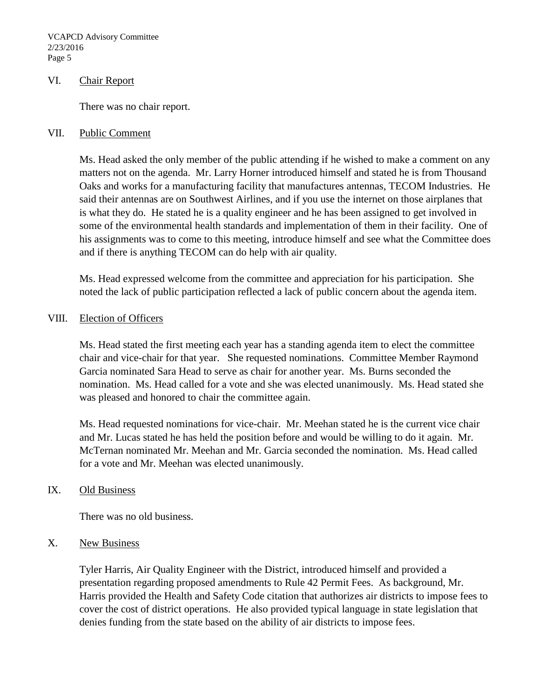VCAPCD Advisory Committee 2/23/2016 Page 5

#### VI. Chair Report

There was no chair report.

#### VII. Public Comment

Ms. Head asked the only member of the public attending if he wished to make a comment on any matters not on the agenda. Mr. Larry Horner introduced himself and stated he is from Thousand Oaks and works for a manufacturing facility that manufactures antennas, TECOM Industries. He said their antennas are on Southwest Airlines, and if you use the internet on those airplanes that is what they do. He stated he is a quality engineer and he has been assigned to get involved in some of the environmental health standards and implementation of them in their facility. One of his assignments was to come to this meeting, introduce himself and see what the Committee does and if there is anything TECOM can do help with air quality.

Ms. Head expressed welcome from the committee and appreciation for his participation. She noted the lack of public participation reflected a lack of public concern about the agenda item.

## VIII. Election of Officers

Ms. Head stated the first meeting each year has a standing agenda item to elect the committee chair and vice-chair for that year. She requested nominations. Committee Member Raymond Garcia nominated Sara Head to serve as chair for another year. Ms. Burns seconded the nomination. Ms. Head called for a vote and she was elected unanimously. Ms. Head stated she was pleased and honored to chair the committee again.

Ms. Head requested nominations for vice-chair. Mr. Meehan stated he is the current vice chair and Mr. Lucas stated he has held the position before and would be willing to do it again. Mr. McTernan nominated Mr. Meehan and Mr. Garcia seconded the nomination. Ms. Head called for a vote and Mr. Meehan was elected unanimously.

## IX. Old Business

There was no old business.

## X. New Business

Tyler Harris, Air Quality Engineer with the District, introduced himself and provided a presentation regarding proposed amendments to Rule 42 Permit Fees. As background, Mr. Harris provided the Health and Safety Code citation that authorizes air districts to impose fees to cover the cost of district operations. He also provided typical language in state legislation that denies funding from the state based on the ability of air districts to impose fees.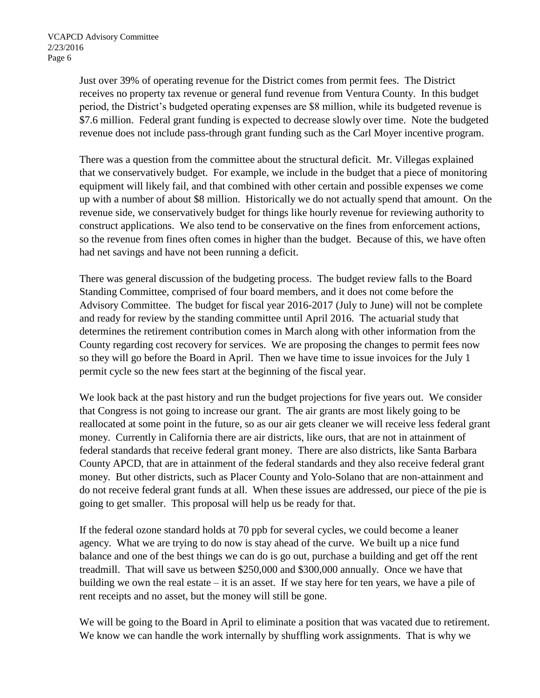Just over 39% of operating revenue for the District comes from permit fees. The District receives no property tax revenue or general fund revenue from Ventura County. In this budget period, the District's budgeted operating expenses are \$8 million, while its budgeted revenue is \$7.6 million. Federal grant funding is expected to decrease slowly over time. Note the budgeted revenue does not include pass-through grant funding such as the Carl Moyer incentive program.

There was a question from the committee about the structural deficit. Mr. Villegas explained that we conservatively budget. For example, we include in the budget that a piece of monitoring equipment will likely fail, and that combined with other certain and possible expenses we come up with a number of about \$8 million. Historically we do not actually spend that amount. On the revenue side, we conservatively budget for things like hourly revenue for reviewing authority to construct applications. We also tend to be conservative on the fines from enforcement actions, so the revenue from fines often comes in higher than the budget. Because of this, we have often had net savings and have not been running a deficit.

There was general discussion of the budgeting process. The budget review falls to the Board Standing Committee, comprised of four board members, and it does not come before the Advisory Committee. The budget for fiscal year 2016-2017 (July to June) will not be complete and ready for review by the standing committee until April 2016. The actuarial study that determines the retirement contribution comes in March along with other information from the County regarding cost recovery for services. We are proposing the changes to permit fees now so they will go before the Board in April. Then we have time to issue invoices for the July 1 permit cycle so the new fees start at the beginning of the fiscal year.

We look back at the past history and run the budget projections for five years out. We consider that Congress is not going to increase our grant. The air grants are most likely going to be reallocated at some point in the future, so as our air gets cleaner we will receive less federal grant money. Currently in California there are air districts, like ours, that are not in attainment of federal standards that receive federal grant money. There are also districts, like Santa Barbara County APCD, that are in attainment of the federal standards and they also receive federal grant money. But other districts, such as Placer County and Yolo-Solano that are non-attainment and do not receive federal grant funds at all. When these issues are addressed, our piece of the pie is going to get smaller. This proposal will help us be ready for that.

If the federal ozone standard holds at 70 ppb for several cycles, we could become a leaner agency. What we are trying to do now is stay ahead of the curve. We built up a nice fund balance and one of the best things we can do is go out, purchase a building and get off the rent treadmill. That will save us between \$250,000 and \$300,000 annually. Once we have that building we own the real estate – it is an asset. If we stay here for ten years, we have a pile of rent receipts and no asset, but the money will still be gone.

We will be going to the Board in April to eliminate a position that was vacated due to retirement. We know we can handle the work internally by shuffling work assignments. That is why we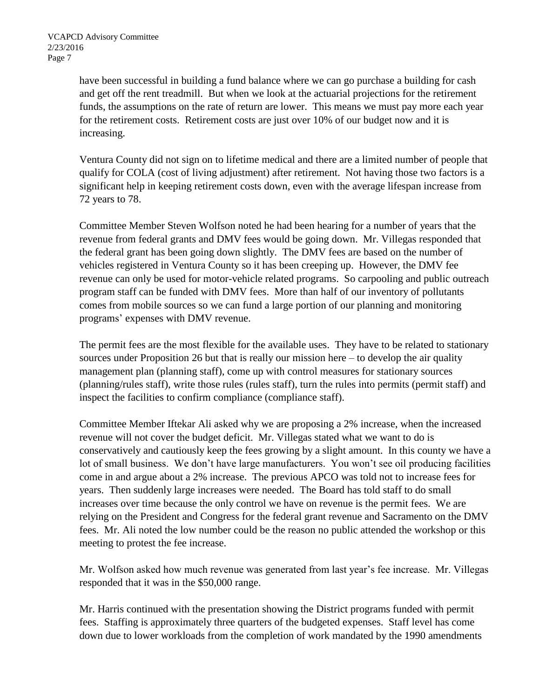have been successful in building a fund balance where we can go purchase a building for cash and get off the rent treadmill. But when we look at the actuarial projections for the retirement funds, the assumptions on the rate of return are lower. This means we must pay more each year for the retirement costs. Retirement costs are just over 10% of our budget now and it is increasing.

Ventura County did not sign on to lifetime medical and there are a limited number of people that qualify for COLA (cost of living adjustment) after retirement. Not having those two factors is a significant help in keeping retirement costs down, even with the average lifespan increase from 72 years to 78.

Committee Member Steven Wolfson noted he had been hearing for a number of years that the revenue from federal grants and DMV fees would be going down. Mr. Villegas responded that the federal grant has been going down slightly. The DMV fees are based on the number of vehicles registered in Ventura County so it has been creeping up. However, the DMV fee revenue can only be used for motor-vehicle related programs. So carpooling and public outreach program staff can be funded with DMV fees. More than half of our inventory of pollutants comes from mobile sources so we can fund a large portion of our planning and monitoring programs' expenses with DMV revenue.

The permit fees are the most flexible for the available uses. They have to be related to stationary sources under Proposition 26 but that is really our mission here – to develop the air quality management plan (planning staff), come up with control measures for stationary sources (planning/rules staff), write those rules (rules staff), turn the rules into permits (permit staff) and inspect the facilities to confirm compliance (compliance staff).

Committee Member Iftekar Ali asked why we are proposing a 2% increase, when the increased revenue will not cover the budget deficit. Mr. Villegas stated what we want to do is conservatively and cautiously keep the fees growing by a slight amount. In this county we have a lot of small business. We don't have large manufacturers. You won't see oil producing facilities come in and argue about a 2% increase. The previous APCO was told not to increase fees for years. Then suddenly large increases were needed. The Board has told staff to do small increases over time because the only control we have on revenue is the permit fees. We are relying on the President and Congress for the federal grant revenue and Sacramento on the DMV fees. Mr. Ali noted the low number could be the reason no public attended the workshop or this meeting to protest the fee increase.

Mr. Wolfson asked how much revenue was generated from last year's fee increase. Mr. Villegas responded that it was in the \$50,000 range.

Mr. Harris continued with the presentation showing the District programs funded with permit fees. Staffing is approximately three quarters of the budgeted expenses. Staff level has come down due to lower workloads from the completion of work mandated by the 1990 amendments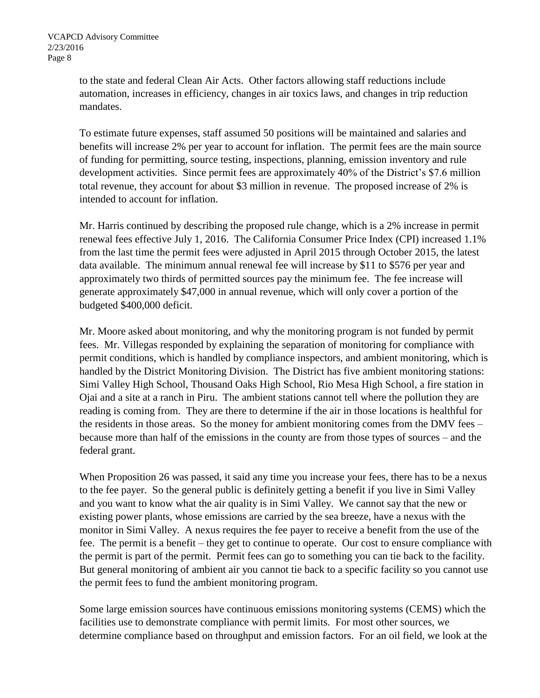to the state and federal Clean Air Acts. Other factors allowing staff reductions include automation, increases in efficiency, changes in air toxics laws, and changes in trip reduction mandates.

To estimate future expenses, staff assumed 50 positions will be maintained and salaries and benefits will increase 2% per year to account for inflation. The permit fees are the main source of funding for permitting, source testing, inspections, planning, emission inventory and rule development activities. Since permit fees are approximately 40% of the District's \$7.6 million total revenue, they account for about \$3 million in revenue. The proposed increase of 2% is intended to account for inflation.

Mr. Harris continued by describing the proposed rule change, which is a 2% increase in permit renewal fees effective July 1, 2016. The California Consumer Price Index (CPI) increased 1.1% from the last time the permit fees were adjusted in April 2015 through October 2015, the latest data available. The minimum annual renewal fee will increase by \$11 to \$576 per year and approximately two thirds of permitted sources pay the minimum fee. The fee increase will generate approximately \$47,000 in annual revenue, which will only cover a portion of the budgeted \$400,000 deficit.

Mr. Moore asked about monitoring, and why the monitoring program is not funded by permit fees. Mr. Villegas responded by explaining the separation of monitoring for compliance with permit conditions, which is handled by compliance inspectors, and ambient monitoring, which is handled by the District Monitoring Division. The District has five ambient monitoring stations: Simi Valley High School, Thousand Oaks High School, Rio Mesa High School, a fire station in Ojai and a site at a ranch in Piru. The ambient stations cannot tell where the pollution they are reading is coming from. They are there to determine if the air in those locations is healthful for the residents in those areas. So the money for ambient monitoring comes from the DMV fees – because more than half of the emissions in the county are from those types of sources – and the federal grant.

When Proposition 26 was passed, it said any time you increase your fees, there has to be a nexus to the fee payer. So the general public is definitely getting a benefit if you live in Simi Valley and you want to know what the air quality is in Simi Valley. We cannot say that the new or existing power plants, whose emissions are carried by the sea breeze, have a nexus with the monitor in Simi Valley. A nexus requires the fee payer to receive a benefit from the use of the fee. The permit is a benefit – they get to continue to operate. Our cost to ensure compliance with the permit is part of the permit. Permit fees can go to something you can tie back to the facility. But general monitoring of ambient air you cannot tie back to a specific facility so you cannot use the permit fees to fund the ambient monitoring program.

Some large emission sources have continuous emissions monitoring systems (CEMS) which the facilities use to demonstrate compliance with permit limits. For most other sources, we determine compliance based on throughput and emission factors. For an oil field, we look at the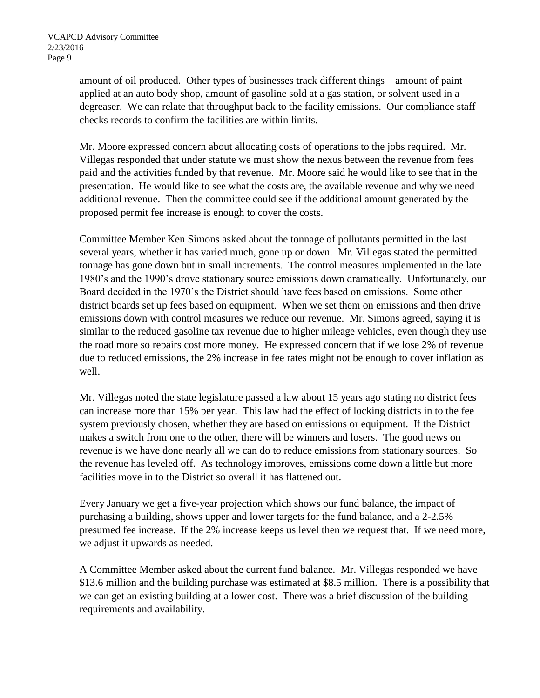amount of oil produced. Other types of businesses track different things – amount of paint applied at an auto body shop, amount of gasoline sold at a gas station, or solvent used in a degreaser. We can relate that throughput back to the facility emissions. Our compliance staff checks records to confirm the facilities are within limits.

Mr. Moore expressed concern about allocating costs of operations to the jobs required. Mr. Villegas responded that under statute we must show the nexus between the revenue from fees paid and the activities funded by that revenue. Mr. Moore said he would like to see that in the presentation. He would like to see what the costs are, the available revenue and why we need additional revenue. Then the committee could see if the additional amount generated by the proposed permit fee increase is enough to cover the costs.

Committee Member Ken Simons asked about the tonnage of pollutants permitted in the last several years, whether it has varied much, gone up or down. Mr. Villegas stated the permitted tonnage has gone down but in small increments. The control measures implemented in the late 1980's and the 1990's drove stationary source emissions down dramatically. Unfortunately, our Board decided in the 1970's the District should have fees based on emissions. Some other district boards set up fees based on equipment. When we set them on emissions and then drive emissions down with control measures we reduce our revenue. Mr. Simons agreed, saying it is similar to the reduced gasoline tax revenue due to higher mileage vehicles, even though they use the road more so repairs cost more money. He expressed concern that if we lose 2% of revenue due to reduced emissions, the 2% increase in fee rates might not be enough to cover inflation as well.

Mr. Villegas noted the state legislature passed a law about 15 years ago stating no district fees can increase more than 15% per year. This law had the effect of locking districts in to the fee system previously chosen, whether they are based on emissions or equipment. If the District makes a switch from one to the other, there will be winners and losers. The good news on revenue is we have done nearly all we can do to reduce emissions from stationary sources. So the revenue has leveled off. As technology improves, emissions come down a little but more facilities move in to the District so overall it has flattened out.

Every January we get a five-year projection which shows our fund balance, the impact of purchasing a building, shows upper and lower targets for the fund balance, and a 2-2.5% presumed fee increase. If the 2% increase keeps us level then we request that. If we need more, we adjust it upwards as needed.

A Committee Member asked about the current fund balance. Mr. Villegas responded we have \$13.6 million and the building purchase was estimated at \$8.5 million. There is a possibility that we can get an existing building at a lower cost. There was a brief discussion of the building requirements and availability.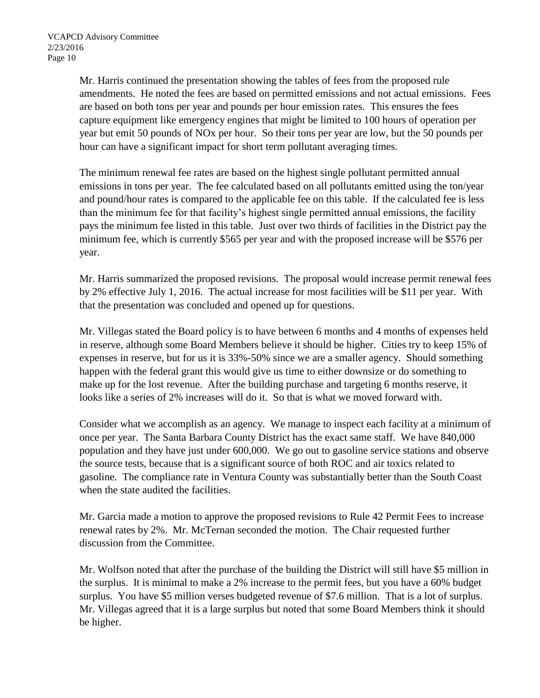Mr. Harris continued the presentation showing the tables of fees from the proposed rule amendments. He noted the fees are based on permitted emissions and not actual emissions. Fees are based on both tons per year and pounds per hour emission rates. This ensures the fees capture equipment like emergency engines that might be limited to 100 hours of operation per year but emit 50 pounds of NOx per hour. So their tons per year are low, but the 50 pounds per hour can have a significant impact for short term pollutant averaging times.

The minimum renewal fee rates are based on the highest single pollutant permitted annual emissions in tons per year. The fee calculated based on all pollutants emitted using the ton/year and pound/hour rates is compared to the applicable fee on this table. If the calculated fee is less than the minimum fee for that facility's highest single permitted annual emissions, the facility pays the minimum fee listed in this table. Just over two thirds of facilities in the District pay the minimum fee, which is currently \$565 per year and with the proposed increase will be \$576 per year.

Mr. Harris summarized the proposed revisions. The proposal would increase permit renewal fees by 2% effective July 1, 2016. The actual increase for most facilities will be \$11 per year. With that the presentation was concluded and opened up for questions.

Mr. Villegas stated the Board policy is to have between 6 months and 4 months of expenses held in reserve, although some Board Members believe it should be higher. Cities try to keep 15% of expenses in reserve, but for us it is 33%-50% since we are a smaller agency. Should something happen with the federal grant this would give us time to either downsize or do something to make up for the lost revenue. After the building purchase and targeting 6 months reserve, it looks like a series of 2% increases will do it. So that is what we moved forward with.

Consider what we accomplish as an agency. We manage to inspect each facility at a minimum of once per year. The Santa Barbara County District has the exact same staff. We have 840,000 population and they have just under 600,000. We go out to gasoline service stations and observe the source tests, because that is a significant source of both ROC and air toxics related to gasoline. The compliance rate in Ventura County was substantially better than the South Coast when the state audited the facilities.

Mr. Garcia made a motion to approve the proposed revisions to Rule 42 Permit Fees to increase renewal rates by 2%. Mr. McTernan seconded the motion. The Chair requested further discussion from the Committee.

Mr. Wolfson noted that after the purchase of the building the District will still have \$5 million in the surplus. It is minimal to make a 2% increase to the permit fees, but you have a 60% budget surplus. You have \$5 million verses budgeted revenue of \$7.6 million. That is a lot of surplus. Mr. Villegas agreed that it is a large surplus but noted that some Board Members think it should be higher.